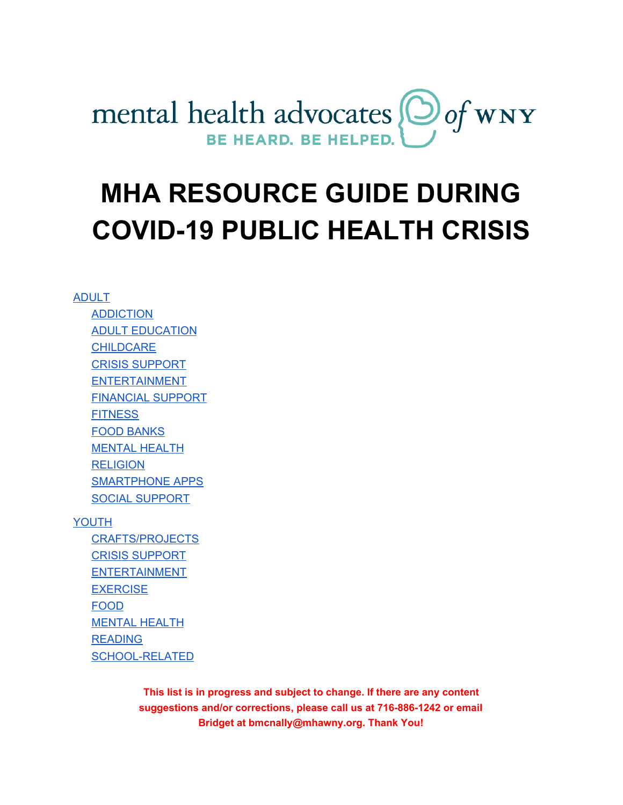

# **MHA RESOURCE GUIDE DURING COVID-19 PUBLIC HEALTH CRISIS**

#### [ADULT](#page-1-0)

[ADDICTION](#page-1-1) ADULT [EDUCATION](#page-1-2) **[CHILDCARE](#page-1-3)** CRISIS [SUPPORT](#page-1-4) ENTERTAINMENT [FINANCIAL](#page-3-0) SUPPORT **[FITNESS](#page-3-1)** FOOD [BANKS](#page-3-2) [MENTAL](#page-4-0) HEALTH **[RELIGION](#page-5-0)** SMARTPHONE APPS SOCIAL [SUPPORT](#page-6-0)

#### [YOUTH](#page-7-0)

[CRAFTS/PROJECTS](#page-7-1) CRISIS [SUPPORT](#page-7-2) [ENTERTAINMENT](#page-7-3) **[EXERCISE](#page-7-4)** [FOOD](#page-8-0) [MENTAL](#page-8-1) HEALTH [READING](#page-9-0) [SCHOOL-RELATED](#page-9-1)

> **This list is in progress and subject to change. If there are any content suggestions and/or corrections, please call us at 716-886-1242 or email Bridget at bmcnally@mhawny.org. Thank You!**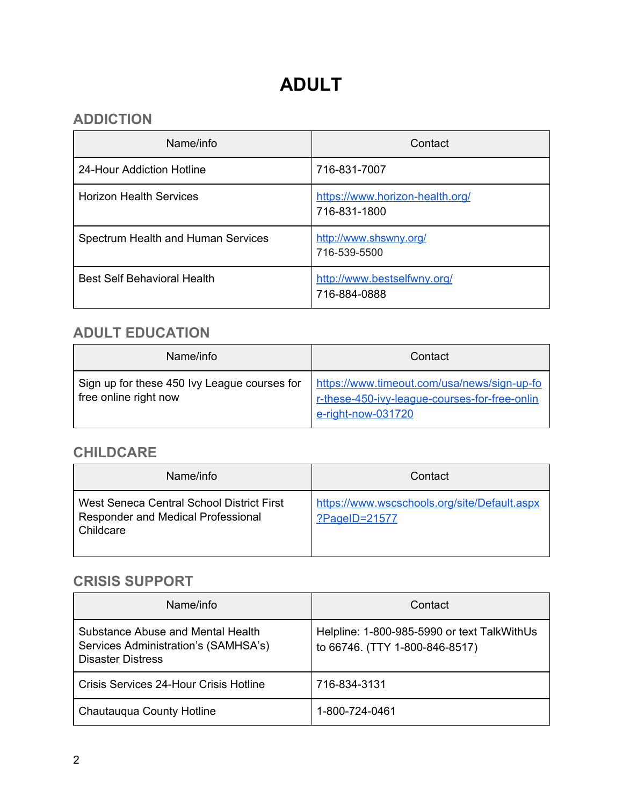# **ADULT**

#### <span id="page-1-1"></span><span id="page-1-0"></span>**ADDICTION**

| Name/info                          | Contact                                         |
|------------------------------------|-------------------------------------------------|
| 24-Hour Addiction Hotline          | 716-831-7007                                    |
| <b>Horizon Health Services</b>     | https://www.horizon-health.org/<br>716-831-1800 |
| Spectrum Health and Human Services | http://www.shswny.org/<br>716-539-5500          |
| <b>Best Self Behavioral Health</b> | http://www.bestselfwny.org/<br>716-884-0888     |

#### <span id="page-1-2"></span>**ADULT EDUCATION**

| Name/info                                                             | Contact                                                                                                            |
|-----------------------------------------------------------------------|--------------------------------------------------------------------------------------------------------------------|
| Sign up for these 450 lvy League courses for<br>free online right now | https://www.timeout.com/usa/news/sign-up-fo<br>r-these-450-ivy-league-courses-for-free-onlin<br>e-right-now-031720 |

#### <span id="page-1-3"></span>**CHILDCARE**

| Name/info                                                                                    | Contact                                                       |
|----------------------------------------------------------------------------------------------|---------------------------------------------------------------|
| West Seneca Central School District First<br>Responder and Medical Professional<br>Childcare | https://www.wscschools.org/site/Default.aspx<br>?PageID=21577 |

#### <span id="page-1-4"></span>**CRISIS SUPPORT**

| Name/info                                                                                             | Contact                                                                       |
|-------------------------------------------------------------------------------------------------------|-------------------------------------------------------------------------------|
| Substance Abuse and Mental Health<br>Services Administration's (SAMHSA's)<br><b>Disaster Distress</b> | Helpline: 1-800-985-5990 or text TalkWithUs<br>to 66746. (TTY 1-800-846-8517) |
| Crisis Services 24-Hour Crisis Hotline                                                                | 716-834-3131                                                                  |
| Chautauqua County Hotline                                                                             | 1-800-724-0461                                                                |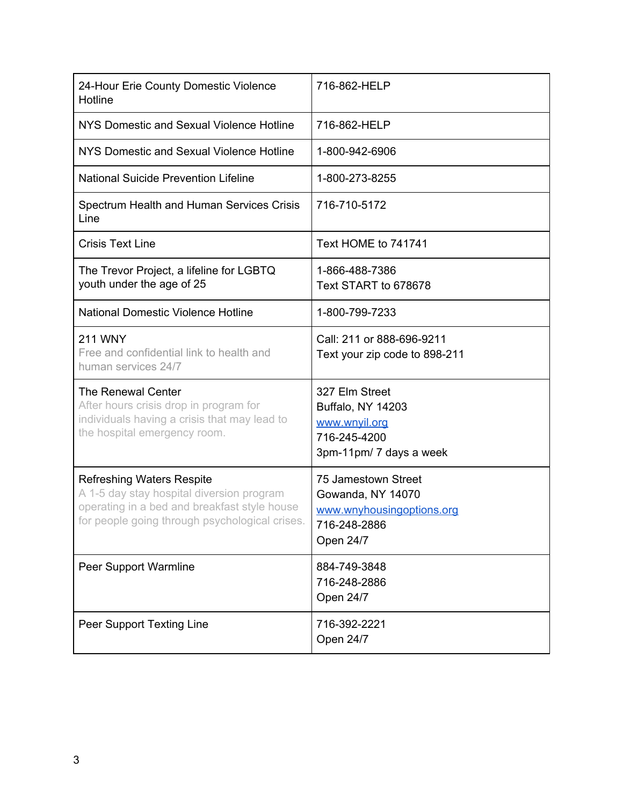| 24-Hour Erie County Domestic Violence<br>Hotline                                                                                                                                | 716-862-HELP                                                                                       |
|---------------------------------------------------------------------------------------------------------------------------------------------------------------------------------|----------------------------------------------------------------------------------------------------|
| NYS Domestic and Sexual Violence Hotline                                                                                                                                        | 716-862-HELP                                                                                       |
| NYS Domestic and Sexual Violence Hotline                                                                                                                                        | 1-800-942-6906                                                                                     |
| <b>National Suicide Prevention Lifeline</b>                                                                                                                                     | 1-800-273-8255                                                                                     |
| Spectrum Health and Human Services Crisis<br>Line                                                                                                                               | 716-710-5172                                                                                       |
| <b>Crisis Text Line</b>                                                                                                                                                         | Text HOME to 741741                                                                                |
| The Trevor Project, a lifeline for LGBTQ<br>youth under the age of 25                                                                                                           | 1-866-488-7386<br>Text START to 678678                                                             |
| <b>National Domestic Violence Hotline</b>                                                                                                                                       | 1-800-799-7233                                                                                     |
| <b>211 WNY</b><br>Free and confidential link to health and<br>human services 24/7                                                                                               | Call: 211 or 888-696-9211<br>Text your zip code to 898-211                                         |
| The Renewal Center<br>After hours crisis drop in program for<br>individuals having a crisis that may lead to<br>the hospital emergency room.                                    | 327 Elm Street<br>Buffalo, NY 14203<br>www.wnyil.org<br>716-245-4200<br>3pm-11pm/ 7 days a week    |
| <b>Refreshing Waters Respite</b><br>A 1-5 day stay hospital diversion program<br>operating in a bed and breakfast style house<br>for people going through psychological crises. | 75 Jamestown Street<br>Gowanda, NY 14070<br>www.wnyhousingoptions.org<br>716-248-2886<br>Open 24/7 |
| Peer Support Warmline                                                                                                                                                           | 884-749-3848<br>716-248-2886<br>Open 24/7                                                          |
| Peer Support Texting Line                                                                                                                                                       | 716-392-2221<br>Open 24/7                                                                          |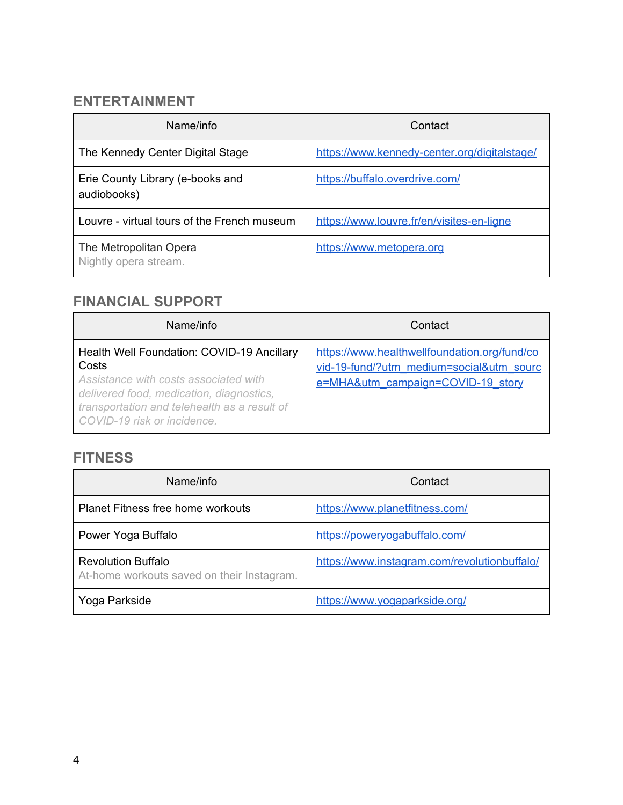#### **ENTERTAINMENT**

| Name/info                                       | Contact                                      |
|-------------------------------------------------|----------------------------------------------|
| The Kennedy Center Digital Stage                | https://www.kennedy-center.org/digitalstage/ |
| Erie County Library (e-books and<br>audiobooks) | https://buffalo.overdrive.com/               |
| Louvre - virtual tours of the French museum     | https://www.louvre.fr/en/visites-en-ligne    |
| The Metropolitan Opera<br>Nightly opera stream. | https://www.metopera.org                     |

#### <span id="page-3-0"></span>**FINANCIAL SUPPORT**

| Name/info                                                                                                                                                                                                               | Contact                                                                                                                       |
|-------------------------------------------------------------------------------------------------------------------------------------------------------------------------------------------------------------------------|-------------------------------------------------------------------------------------------------------------------------------|
| Health Well Foundation: COVID-19 Ancillary<br>Costs<br>Assistance with costs associated with<br>delivered food, medication, diagnostics,<br>transportation and telehealth as a result of<br>COVID-19 risk or incidence. | https://www.healthwellfoundation.org/fund/co<br>vid-19-fund/?utm_medium=social&utm_sourc<br>e=MHA&utm_campaign=COVID-19_story |

#### <span id="page-3-1"></span>**FITNESS**

<span id="page-3-2"></span>

| Name/info                                                               | Contact                                      |
|-------------------------------------------------------------------------|----------------------------------------------|
| <b>Planet Fitness free home workouts</b>                                | https://www.planetfitness.com/               |
| Power Yoga Buffalo                                                      | https://poweryogabuffalo.com/                |
| <b>Revolution Buffalo</b><br>At-home workouts saved on their Instagram. | https://www.instagram.com/revolutionbuffalo/ |
| Yoga Parkside                                                           | https://www.yogaparkside.org/                |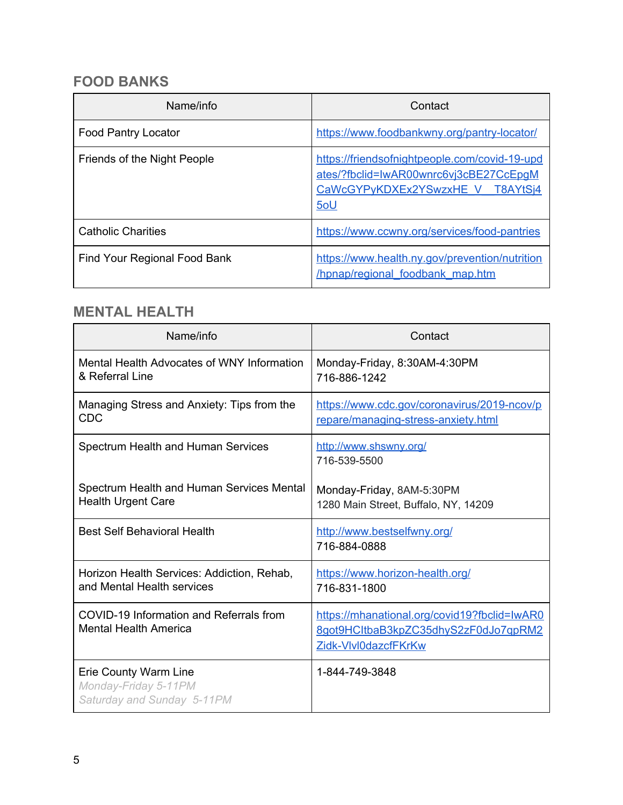#### **FOOD BANKS**

| Name/info                    | Contact                                                                                                                            |
|------------------------------|------------------------------------------------------------------------------------------------------------------------------------|
| <b>Food Pantry Locator</b>   | https://www.foodbankwny.org/pantry-locator/                                                                                        |
| Friends of the Night People  | https://friendsofnightpeople.com/covid-19-upd<br>ates/?fbclid=IwAR00wnrc6vj3cBE27CcEpgM<br>CaWcGYPyKDXEx2YSwzxHE V T8AYtSj4<br>5oU |
| <b>Catholic Charities</b>    | https://www.ccwny.org/services/food-pantries                                                                                       |
| Find Your Regional Food Bank | https://www.health.ny.gov/prevention/nutrition<br>/hpnap/regional foodbank map.htm                                                 |

#### <span id="page-4-0"></span>**MENTAL HEALTH**

| Name/info                                                                   | Contact                                                                                                      |
|-----------------------------------------------------------------------------|--------------------------------------------------------------------------------------------------------------|
| Mental Health Advocates of WNY Information<br>& Referral Line               | Monday-Friday, 8:30AM-4:30PM<br>716-886-1242                                                                 |
| Managing Stress and Anxiety: Tips from the<br><b>CDC</b>                    | https://www.cdc.gov/coronavirus/2019-ncov/p<br>repare/managing-stress-anxiety.html                           |
| Spectrum Health and Human Services                                          | http://www.shswny.org/<br>716-539-5500                                                                       |
| Spectrum Health and Human Services Mental<br><b>Health Urgent Care</b>      | Monday-Friday, 8AM-5:30PM<br>1280 Main Street, Buffalo, NY, 14209                                            |
| <b>Best Self Behavioral Health</b>                                          | http://www.bestselfwny.org/<br>716-884-0888                                                                  |
| Horizon Health Services: Addiction, Rehab,<br>and Mental Health services    | https://www.horizon-health.org/<br>716-831-1800                                                              |
| COVID-19 Information and Referrals from<br><b>Mental Health America</b>     | https://mhanational.org/covid19?fbclid=lwAR0<br>8got9HCltbaB3kpZC35dhyS2zF0dJo7qpRM2<br>Zidk-Vlvl0dazcfFKrKw |
| Erie County Warm Line<br>Monday-Friday 5-11PM<br>Saturday and Sunday 5-11PM | 1-844-749-3848                                                                                               |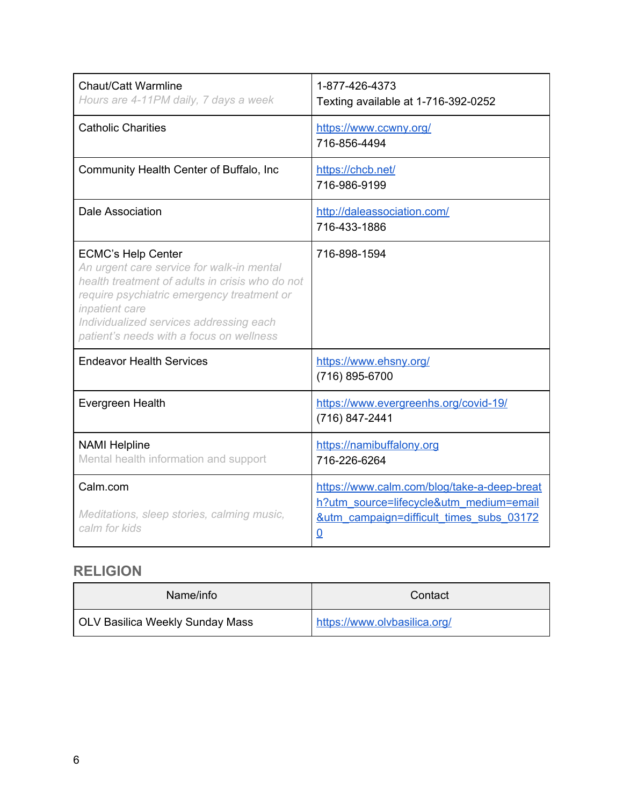| Chaut/Catt Warmline<br>Hours are 4-11PM daily, 7 days a week                                                                                                                                                                                                                     | 1-877-426-4373<br>Texting available at 1-716-392-0252                                                                                                           |
|----------------------------------------------------------------------------------------------------------------------------------------------------------------------------------------------------------------------------------------------------------------------------------|-----------------------------------------------------------------------------------------------------------------------------------------------------------------|
| <b>Catholic Charities</b>                                                                                                                                                                                                                                                        | https://www.ccwny.org/<br>716-856-4494                                                                                                                          |
| Community Health Center of Buffalo, Inc                                                                                                                                                                                                                                          | https://chcb.net/<br>716-986-9199                                                                                                                               |
| Dale Association                                                                                                                                                                                                                                                                 | http://daleassociation.com/<br>716-433-1886                                                                                                                     |
| <b>ECMC's Help Center</b><br>An urgent care service for walk-in mental<br>health treatment of adults in crisis who do not<br>require psychiatric emergency treatment or<br>inpatient care<br>Individualized services addressing each<br>patient's needs with a focus on wellness | 716-898-1594                                                                                                                                                    |
| <b>Endeavor Health Services</b>                                                                                                                                                                                                                                                  | https://www.ehsny.org/<br>(716) 895-6700                                                                                                                        |
| Evergreen Health                                                                                                                                                                                                                                                                 | https://www.evergreenhs.org/covid-19/<br>(716) 847-2441                                                                                                         |
| <b>NAMI Helpline</b><br>Mental health information and support                                                                                                                                                                                                                    | https://namibuffalony.org<br>716-226-6264                                                                                                                       |
| Calm.com<br>Meditations, sleep stories, calming music,<br>calm for kids                                                                                                                                                                                                          | https://www.calm.com/blog/take-a-deep-breat<br>h?utm_source=lifecycle&utm_medium=email<br><u>&amp;utm campaign=difficult times subs 03172</u><br>$\overline{0}$ |

#### <span id="page-5-0"></span>**RELIGION**

| Name/info                       | Contact                      |
|---------------------------------|------------------------------|
| OLV Basilica Weekly Sunday Mass | https://www.olvbasilica.org/ |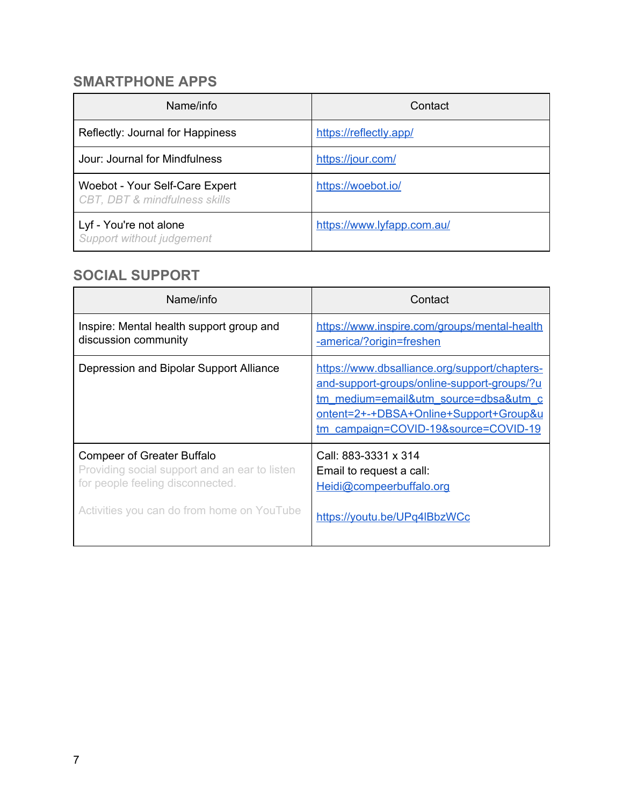#### **SMARTPHONE APPS**

| Name/info                                                                  | Contact                    |
|----------------------------------------------------------------------------|----------------------------|
| Reflectly: Journal for Happiness                                           | https://reflectly.app/     |
| Jour: Journal for Mindfulness                                              | https://jour.com/          |
| Woebot - Your Self-Care Expert<br><b>CBT, DBT &amp; mindfulness skills</b> | https://woebot.io/         |
| Lyf - You're not alone<br>Support without judgement                        | https://www.lyfapp.com.au/ |

#### <span id="page-6-0"></span>**SOCIAL SUPPORT**

| Name/info                                                                                                              | Contact                                                                                                                                                                                                                 |
|------------------------------------------------------------------------------------------------------------------------|-------------------------------------------------------------------------------------------------------------------------------------------------------------------------------------------------------------------------|
| Inspire: Mental health support group and<br>discussion community                                                       | https://www.inspire.com/groups/mental-health<br>-america/?origin=freshen                                                                                                                                                |
| Depression and Bipolar Support Alliance                                                                                | https://www.dbsalliance.org/support/chapters-<br>and-support-groups/online-support-groups/?u<br>tm medium=email&utm source=dbsa&utm c<br>ontent=2+-+DBSA+Online+Support+Group&u<br>tm_campaign=COVID-19&source=COVID-19 |
| <b>Compeer of Greater Buffalo</b><br>Providing social support and an ear to listen<br>for people feeling disconnected. | Call: 883-3331 x 314<br>Email to request a call:<br>Heidi@compeerbuffalo.org                                                                                                                                            |
| Activities you can do from home on YouTube                                                                             | https://youtu.be/UPq4lBbzWCc                                                                                                                                                                                            |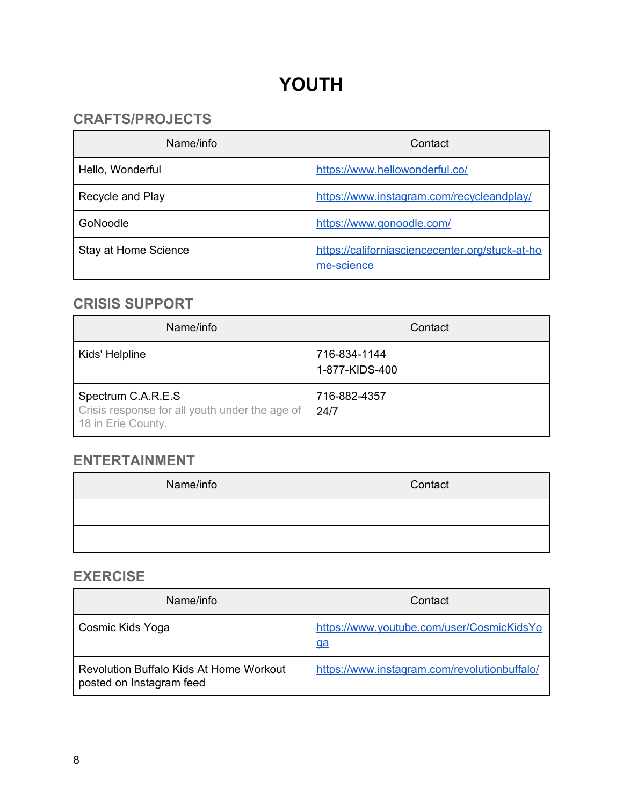# **YOUTH**

#### <span id="page-7-1"></span><span id="page-7-0"></span>**CRAFTS/PROJECTS**

| Name/info            | Contact                                                       |
|----------------------|---------------------------------------------------------------|
| Hello, Wonderful     | https://www.hellowonderful.co/                                |
| Recycle and Play     | https://www.instagram.com/recycleandplay/                     |
| GoNoodle             | https://www.gonoodle.com/                                     |
| Stay at Home Science | https://californiasciencecenter.org/stuck-at-ho<br>me-science |

#### <span id="page-7-2"></span>**CRISIS SUPPORT**

| Name/info                                                                                  | Contact                        |
|--------------------------------------------------------------------------------------------|--------------------------------|
| Kids' Helpline                                                                             | 716-834-1144<br>1-877-KIDS-400 |
| Spectrum C.A.R.E.S<br>Crisis response for all youth under the age of<br>18 in Erie County. | 716-882-4357<br>24/7           |

#### <span id="page-7-3"></span>**ENTERTAINMENT**

| Name/info | Contact |
|-----------|---------|
|           |         |
|           |         |

#### <span id="page-7-4"></span>**EXERCISE**

| Name/info                                                           | Contact                                                |
|---------------------------------------------------------------------|--------------------------------------------------------|
| Cosmic Kids Yoga                                                    | https://www.youtube.com/user/CosmicKidsYo<br><u>ga</u> |
| Revolution Buffalo Kids At Home Workout<br>posted on Instagram feed | https://www.instagram.com/revolutionbuffalo/           |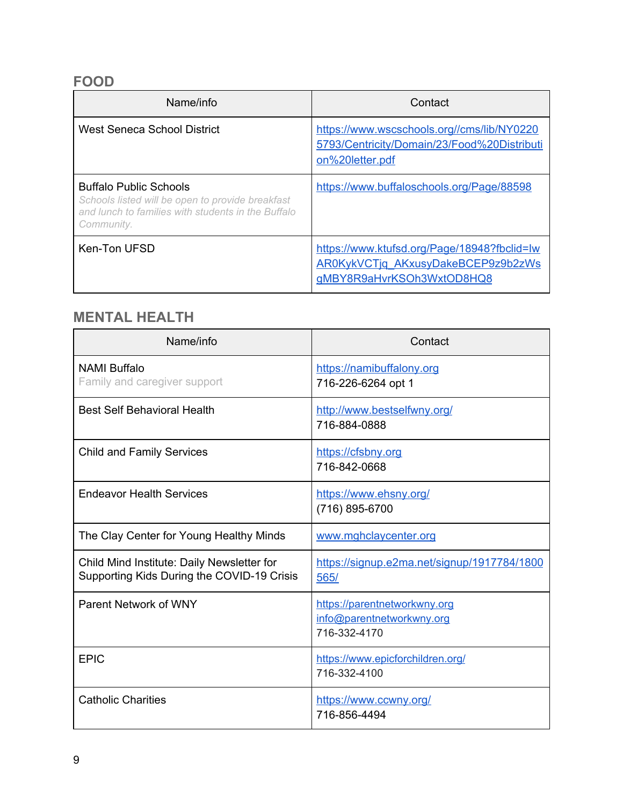#### <span id="page-8-0"></span>**FOOD**

| Name/info                                                                                                                                             | Contact                                                                                                        |
|-------------------------------------------------------------------------------------------------------------------------------------------------------|----------------------------------------------------------------------------------------------------------------|
| West Seneca School District                                                                                                                           | https://www.wscschools.org//cms/lib/NY0220<br>5793/Centricity/Domain/23/Food%20Distributi<br>on%20letter.pdf   |
| <b>Buffalo Public Schools</b><br>Schools listed will be open to provide breakfast<br>and lunch to families with students in the Buffalo<br>Community. | https://www.buffaloschools.org/Page/88598                                                                      |
| Ken-Ton UFSD                                                                                                                                          | https://www.ktufsd.org/Page/18948?fbclid=lw<br>AR0KykVCTjq AKxusyDakeBCEP9z9b2zWs<br>gMBY8R9aHvrKSOh3WxtOD8HQ8 |

## <span id="page-8-1"></span>**MENTAL HEALTH**

| Name/info                                                                                | Contact                                                                   |
|------------------------------------------------------------------------------------------|---------------------------------------------------------------------------|
| <b>NAMI Buffalo</b><br>Family and caregiver support                                      | https://namibuffalony.org<br>716-226-6264 opt 1                           |
| <b>Best Self Behavioral Health</b>                                                       | http://www.bestselfwny.org/<br>716-884-0888                               |
| <b>Child and Family Services</b>                                                         | https://cfsbny.org<br>716-842-0668                                        |
| <b>Endeavor Health Services</b>                                                          | https://www.ehsny.org/<br>(716) 895-6700                                  |
| The Clay Center for Young Healthy Minds                                                  | www.mghclaycenter.org                                                     |
| Child Mind Institute: Daily Newsletter for<br>Supporting Kids During the COVID-19 Crisis | https://signup.e2ma.net/signup/1917784/1800<br>565/                       |
| Parent Network of WNY                                                                    | https://parentnetworkwny.org<br>info@parentnetworkwny.org<br>716-332-4170 |
| <b>EPIC</b>                                                                              | https://www.epicforchildren.org/<br>716-332-4100                          |
| <b>Catholic Charities</b>                                                                | https://www.ccwny.org/<br>716-856-4494                                    |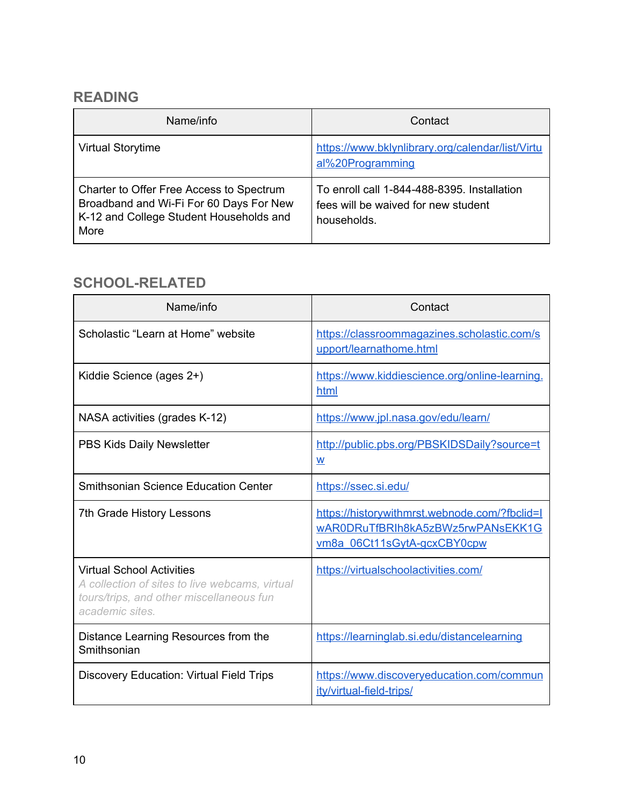#### <span id="page-9-0"></span>**READING**

| Name/info                                                                                                                              | Contact                                                                                           |
|----------------------------------------------------------------------------------------------------------------------------------------|---------------------------------------------------------------------------------------------------|
| <b>Virtual Storytime</b>                                                                                                               | https://www.bklynlibrary.org/calendar/list/Virtu<br>al%20Programming                              |
| Charter to Offer Free Access to Spectrum<br>Broadband and Wi-Fi For 60 Days For New<br>K-12 and College Student Households and<br>More | To enroll call 1-844-488-8395. Installation<br>fees will be waived for new student<br>households. |

### <span id="page-9-1"></span>**SCHOOL-RELATED**

| Name/info                                                                                                                                         | Contact                                                                                                           |
|---------------------------------------------------------------------------------------------------------------------------------------------------|-------------------------------------------------------------------------------------------------------------------|
| Scholastic "Learn at Home" website                                                                                                                | https://classroommagazines.scholastic.com/s<br>upport/learnathome.html                                            |
| Kiddie Science (ages 2+)                                                                                                                          | https://www.kiddiescience.org/online-learning.<br>html                                                            |
| NASA activities (grades K-12)                                                                                                                     | https://www.jpl.nasa.gov/edu/learn/                                                                               |
| PBS Kids Daily Newsletter                                                                                                                         | http://public.pbs.org/PBSKIDSDaily?source=t<br>W                                                                  |
| <b>Smithsonian Science Education Center</b>                                                                                                       | https://ssec.si.edu/                                                                                              |
| 7th Grade History Lessons                                                                                                                         | https://historywithmrst.webnode.com/?fbclid=l<br>wAR0DRuTfBRIh8kA5zBWz5rwPANsEKK1G<br>vm8a_06Ct11sGytA-gcxCBY0cpw |
| <b>Virtual School Activities</b><br>A collection of sites to live webcams, virtual<br>tours/trips, and other miscellaneous fun<br>academic sites. | https://virtualschoolactivities.com/                                                                              |
| Distance Learning Resources from the<br>Smithsonian                                                                                               | https://learninglab.si.edu/distancelearning                                                                       |
| <b>Discovery Education: Virtual Field Trips</b>                                                                                                   | https://www.discoveryeducation.com/commun<br>ity/virtual-field-trips/                                             |